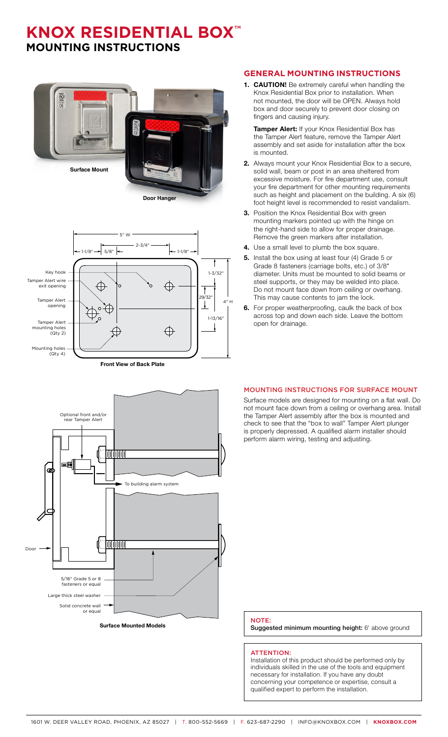### **KNOX RESIDENTIAL BOX™ MOUNTING INSTRUCTIONS**





**Front View of Back Plate**



**Surface Mounted Models**

#### **GENERAL MOUNTING INSTRUCTIONS**

**1. CAUTION!** Be extremely careful when handling the Knox Residential Box prior to installation. When not mounted, the door will be OPEN. Always hold box and door securely to prevent door closing on fingers and causing injury.

**Tamper Alert:** If your Knox Residential Box has the Tamper Alert feature, remove the Tamper Alert assembly and set aside for installation after the box is mounted.

- **2.** Always mount your Knox Residential Box to a secure, solid wall, beam or post in an area sheltered from excessive moisture. For fire department use, consult your fire department for other mounting requirements such as height and placement on the building. A six (6) foot height level is recommended to resist vandalism.
- **3.** Position the Knox Residential Box with green mounting markers pointed up with the hinge on the right-hand side to allow for proper drainage. Remove the green markers after installation.
- **4.** Use a small level to plumb the box square.
- **5.** Install the box using at least four (4) Grade 5 or Grade 8 fasteners (carriage bolts, etc.) of 3/8" diameter. Units must be mounted to solid beams or steel supports, or they may be welded into place. Do not mount face down from ceiling or overhang. This may cause contents to jam the lock.
- **6.** For proper weatherproofing, caulk the back of box across top and down each side. Leave the bottom open for drainage.

#### MOUNTING INSTRUCTIONS FOR SURFACE MOUNT

Surface models are designed for mounting on a flat wall. Do not mount face down from a ceiling or overhang area. Install the Tamper Alert assembly after the box is mounted and check to see that the "box to wall" Tamper Alert plunger is properly depressed. A qualified alarm installer should perform alarm wiring, testing and adjusting.

#### NOTE:

Suggested minimum mounting height: 6' above ground

#### ATTENTION:

Installation of this product should be performed only by individuals skilled in the use of the tools and equipment necessary for installation. If you have any doubt concerning your competence or expertise, consult a qualified expert to perform the installation.